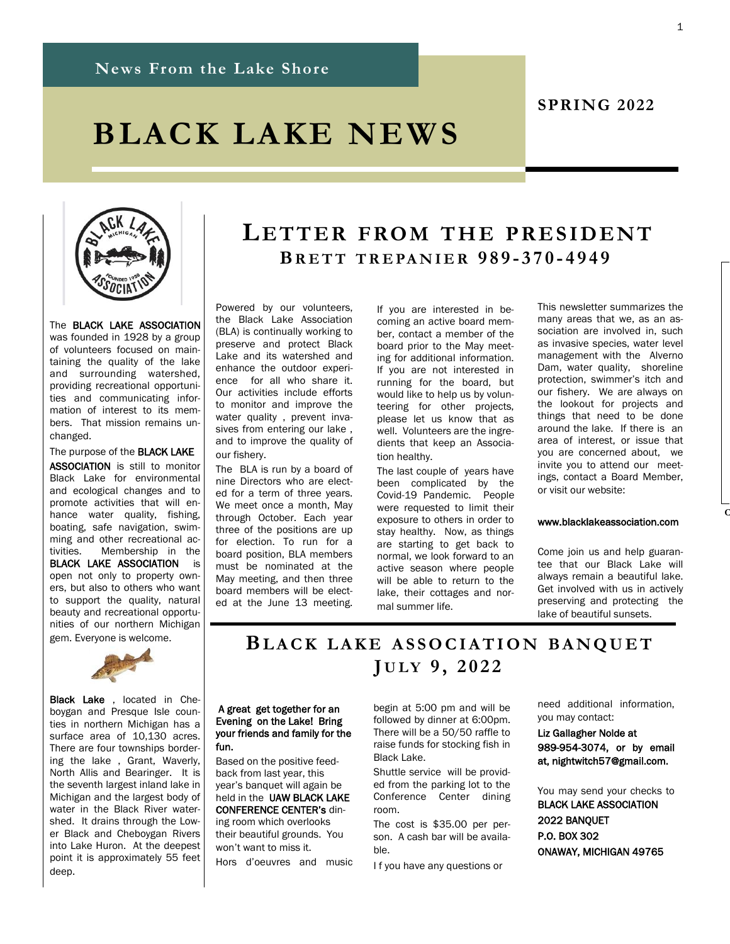# **BLACK LAKE NEWS**



The BLACK LAKE ASSOCIATION was founded in 1928 by a group of volunteers focused on maintaining the quality of the lake and surrounding watershed, providing recreational opportunities and communicating information of interest to its members. That mission remains unchanged.

### The purpose of the BLACK LAKE

ASSOCIATION is still to monitor Black Lake for environmental and ecological changes and to promote activities that will enhance water quality, fishing, boating, safe navigation, swimming and other recreational activities. Membership in the BLACK LAKE ASSOCIATION is open not only to property owners, but also to others who want to support the quality, natural beauty and recreational opportunities of our northern Michigan gem. Everyone is welcome.



Black Lake , located in Cheboygan and Presque Isle counties in northern Michigan has a surface area of 10,130 acres. There are four townships bordering the lake , Grant, Waverly, North Allis and Bearinger. It is the seventh largest inland lake in Michigan and the largest body of water in the Black River watershed. It drains through the Lower Black and Cheboygan Rivers into Lake Huron. At the deepest point it is approximately 55 feet deep.

## **LET T ER FROM THE PRE S ID ENT BR E T T T R E PA N I E R 989 - 370 - 4949**

Powered by our volunteers, the Black Lake Association (BLA) is continually working to preserve and protect Black Lake and its watershed and enhance the outdoor experience for all who share it. Our activities include efforts to monitor and improve the water quality , prevent invasives from entering our lake , and to improve the quality of our fishery.

The BLA is run by a board of nine Directors who are elected for a term of three years. We meet once a month, May through October. Each year three of the positions are up for election. To run for a board position, BLA members must be nominated at the May meeting, and then three board members will be elected at the June 13 meeting. If you are interested in becoming an active board member, contact a member of the board prior to the May meeting for additional information. If you are not interested in running for the board, but would like to help us by volunteering for other projects, please let us know that as well. Volunteers are the ingredients that keep an Association healthy.

The last couple of years have been complicated by the Covid-19 Pandemic. People were requested to limit their exposure to others in order to stay healthy. Now, as things are starting to get back to normal, we look forward to an active season where people will be able to return to the lake, their cottages and normal summer life.

This newsletter summarizes the many areas that we, as an association are involved in, such as invasive species, water level management with the Alverno Dam, water quality, shoreline protection, swimmer's itch and our fishery. We are always on the lookout for projects and things that need to be done around the lake. If there is an area of interest, or issue that you are concerned about, we invite you to attend our meetings, contact a Board Member, or visit our website:

**SPRING 2022**

#### www.blacklakeassociation.com

**C** 

Come join us and help guarantee that our Black Lake will always remain a beautiful lake. Get involved with us in actively preserving and protecting the lake of beautiful sunsets.

 **BL A C K L A K E A S S O C I A T I O N B A N Q U E T J U L Y 9 , 2 0 2 2**

#### A great get together for an Evening on the Lake! Bring your friends and family for the fun.

Based on the positive feedback from last year, this year's banquet will again be held in the UAW BLACK LAKE CONFERENCE CENTER's dining room which overlooks their beautiful grounds. You

won't want to miss it. Hors d'oeuvres and music begin at 5:00 pm and will be followed by dinner at 6:00pm. There will be a 50/50 raffle to raise funds for stocking fish in Black Lake.

Shuttle service will be provided from the parking lot to the Conference Center dining room.

The cost is \$35.00 per person. A cash bar will be available.

I f you have any questions or

need additional information, you may contact:

Liz Gallagher Nolde at 989-954-3074, or by email at, nightwitch57@gmail.com.

You may send your checks to BLACK LAKE ASSOCIATION 2022 BANQUET P.O. BOX 302 ONAWAY, MICHIGAN 49765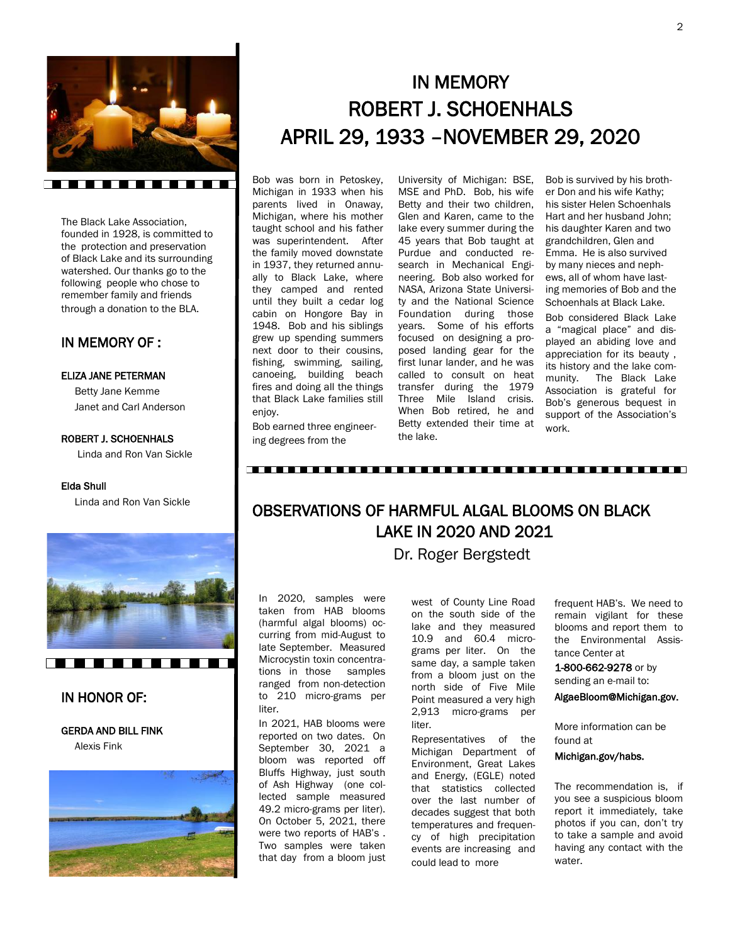

The Black Lake Association, founded in 1928, is committed to the protection and preservation of Black Lake and its surrounding watershed. Our thanks go to the following people who chose to remember family and friends through a donation to the BLA.

### IN MEMORY OF :

#### ELIZA JANE PETERMAN

 Betty Jane Kemme Janet and Carl Anderson

#### ROBERT J. SCHOENHALS

Linda and Ron Van Sickle

#### Elda Shull

Linda and Ron Van Sickle



### IN HONOR OF:

#### GERDA AND BILL FINK

Alexis Fink



## IN MEMORY ROBERT J. SCHOENHALS APRIL 29, 1933 –NOVEMBER 29, 2020

Bob was born in Petoskey, Michigan in 1933 when his parents lived in Onaway, Michigan, where his mother taught school and his father was superintendent. After the family moved downstate in 1937, they returned annually to Black Lake, where they camped and rented until they built a cedar log cabin on Hongore Bay in 1948. Bob and his siblings grew up spending summers next door to their cousins, fishing, swimming, sailing, canoeing, building beach fires and doing all the things that Black Lake families still enjoy.

University of Michigan: BSE, MSE and PhD. Bob, his wife Betty and their two children, Glen and Karen, came to the lake every summer during the 45 years that Bob taught at Purdue and conducted research in Mechanical Engineering. Bob also worked for NASA, Arizona State University and the National Science Foundation during those years. Some of his efforts focused on designing a proposed landing gear for the first lunar lander, and he was called to consult on heat transfer during the 1979 Three Mile Island crisis. When Bob retired, he and Betty extended their time at the lake.

Bob is survived by his brother Don and his wife Kathy; his sister Helen Schoenhals Hart and her husband John; his daughter Karen and two grandchildren, Glen and Emma. He is also survived by many nieces and nephews, all of whom have lasting memories of Bob and the Schoenhals at Black Lake. Bob considered Black Lake a "magical place" and displayed an abiding love and appreciation for its beauty , its history and the lake community. The Black Lake Association is grateful for Bob's generous bequest in support of the Association's work.

Bob earned three engineering degrees from the

## OBSERVATIONS OF HARMFUL ALGAL BLOOMS ON BLACK LAKE IN 2020 AND 2021

Dr. Roger Bergstedt

In 2020, samples were taken from HAB blooms (harmful algal blooms) occurring from mid-August to late September. Measured Microcystin toxin concentrations in those samples ranged from non-detection to 210 micro-grams per liter.

In 2021, HAB blooms were reported on two dates. On September 30, 2021 a bloom was reported off Bluffs Highway, just south of Ash Highway (one collected sample measured 49.2 micro-grams per liter). On October 5, 2021, there were two reports of HAB's . Two samples were taken that day from a bloom just

west of County Line Road on the south side of the lake and they measured 10.9 and 60.4 micrograms per liter. On the same day, a sample taken from a bloom just on the north side of Five Mile Point measured a very high 2,913 micro-grams per liter.

Representatives of the Michigan Department of Environment, Great Lakes and Energy, (EGLE) noted that statistics collected over the last number of decades suggest that both temperatures and frequency of high precipitation events are increasing and could lead to more

frequent HAB's. We need to remain vigilant for these blooms and report them to the Environmental Assistance Center at

1-800-662-9278 or by sending an e-mail to:

AlgaeBloom@Michigan.gov.

More information can be found at

#### Michigan.gov/habs.

The recommendation is, if you see a suspicious bloom report it immediately, take photos if you can, don't try to take a sample and avoid having any contact with the water.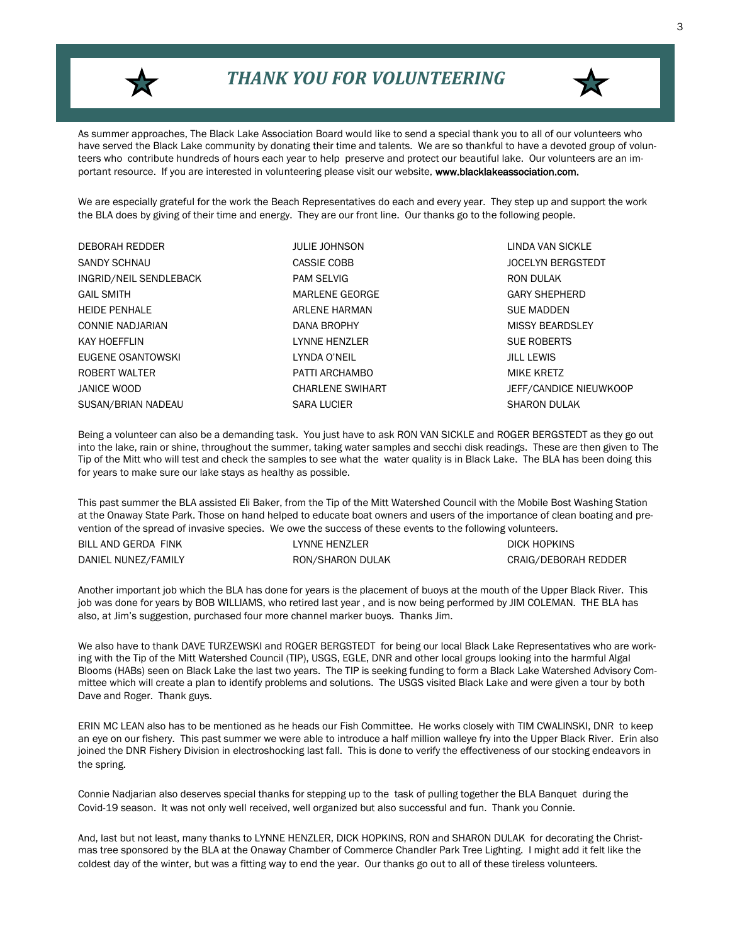

## *THANK YOU FOR VOLUNTEERING*



As summer approaches, The Black Lake Association Board would like to send a special thank you to all of our volunteers who have served the Black Lake community by donating their time and talents. We are so thankful to have a devoted group of volunteers who contribute hundreds of hours each year to help preserve and protect our beautiful lake. Our volunteers are an important resource. If you are interested in volunteering please visit our website, www.blacklakeassociation.com.

We are especially grateful for the work the Beach Representatives do each and every year. They step up and support the work the BLA does by giving of their time and energy. They are our front line. Our thanks go to the following people.

| <b>DEBORAH REDDER</b>  | <b>JULIE JOHNSON</b>    | LINDA VAN SICK       |
|------------------------|-------------------------|----------------------|
| SANDY SCHNAU           | CASSIE COBB             | <b>JOCELYN BERGS</b> |
| INGRID/NEIL SENDLEBACK | <b>PAM SELVIG</b>       | RON DULAK            |
| <b>GAIL SMITH</b>      | <b>MARLENE GEORGE</b>   | <b>GARY SHEPHERI</b> |
| <b>HEIDE PENHALE</b>   | ARLENE HARMAN           | <b>SUE MADDEN</b>    |
| CONNIE NADJARIAN       | DANA BROPHY             | <b>MISSY BEARDSL</b> |
| KAY HOEFFLIN           | LYNNE HENZLER           | <b>SUE ROBERTS</b>   |
| EUGENE OSANTOWSKI      | LYNDA O'NEIL            | <b>JILL LEWIS</b>    |
| ROBERT WALTER          | PATTI ARCHAMBO          | MIKE KRETZ           |
| JANICE WOOD            | <b>CHARLENE SWIHART</b> | JEFF/CANDICE N       |
| SUSAN/BRIAN NADEAU     | <b>SARA LUCIER</b>      | <b>SHARON DULAK</b>  |

**LINDA VAN SICKLE JOCELYN BERGSTEDT GARY SHEPHERD** MISSY BEARDSLEY **SUE ROBERTS** JEFF/CANDICE NIEUWKOOP

Being a volunteer can also be a demanding task. You just have to ask RON VAN SICKLE and ROGER BERGSTEDT as they go out into the lake, rain or shine, throughout the summer, taking water samples and secchi disk readings. These are then given to The Tip of the Mitt who will test and check the samples to see what the water quality is in Black Lake. The BLA has been doing this for years to make sure our lake stays as healthy as possible.

This past summer the BLA assisted Eli Baker, from the Tip of the Mitt Watershed Council with the Mobile Bost Washing Station at the Onaway State Park. Those on hand helped to educate boat owners and users of the importance of clean boating and prevention of the spread of invasive species. We owe the success of these events to the following volunteers.

| BILL AND GERDA FINK | LYNNE HENZLER    | DICK HOPKINS         |
|---------------------|------------------|----------------------|
| DANIEL NUNEZ/FAMILY | RON/SHARON DULAK | CRAIG/DEBORAH REDDER |

Another important job which the BLA has done for years is the placement of buoys at the mouth of the Upper Black River. This job was done for years by BOB WILLIAMS, who retired last year, and is now being performed by JIM COLEMAN. THE BLA has also, at Jim's suggestion, purchased four more channel marker buoys. Thanks Jim.

We also have to thank DAVE TURZEWSKI and ROGER BERGSTEDT for being our local Black Lake Representatives who are working with the Tip of the Mitt Watershed Council (TIP), USGS, EGLE, DNR and other local groups looking into the harmful Algal Blooms (HABs) seen on Black Lake the last two years. The TIP is seeking funding to form a Black Lake Watershed Advisory Committee which will create a plan to identify problems and solutions. The USGS visited Black Lake and were given a tour by both Dave and Roger. Thank guys.

ERIN MC LEAN also has to be mentioned as he heads our Fish Committee. He works closely with TIM CWALINSKI, DNR to keep an eye on our fishery. This past summer we were able to introduce a half million walleye fry into the Upper Black River. Erin also joined the DNR Fishery Division in electroshocking last fall. This is done to verify the effectiveness of our stocking endeavors in the spring.

Connie Nadjarian also deserves special thanks for stepping up to the task of pulling together the BLA Banquet during the Covid-19 season. It was not only well received, well organized but also successful and fun. Thank you Connie.

And, last but not least, many thanks to LYNNE HENZLER, DICK HOPKINS, RON and SHARON DULAK for decorating the Christmas tree sponsored by the BLA at the Onaway Chamber of Commerce Chandler Park Tree Lighting. I might add it felt like the coldest day of the winter, but was a fitting way to end the year. Our thanks go out to all of these tireless volunteers.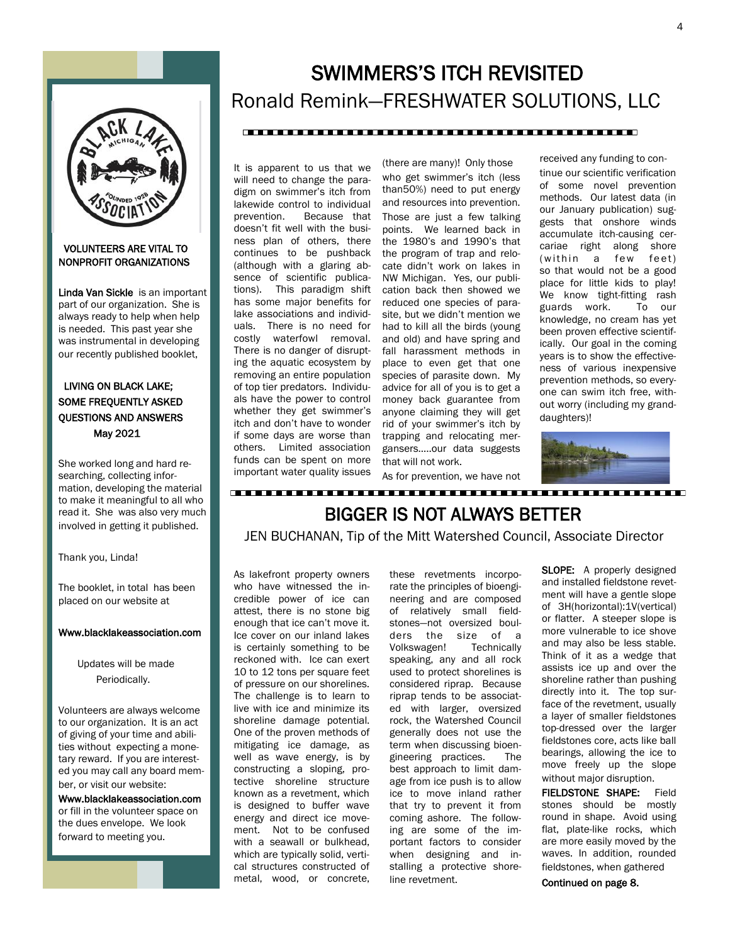

#### VOLUNTEERS ARE VITAL TO NONPROFIT ORGANIZATIONS

Linda Van Sickle is an important part of our organization. She is always ready to help when help is needed. This past year she was instrumental in developing our recently published booklet,

### LIVING ON BLACK LAKE; SOME FREQUENTLY ASKED QUESTIONS AND ANSWERS May 2021

She worked long and hard researching, collecting information, developing the material to make it meaningful to all who read it. She was also very much involved in getting it published.

Thank you, Linda!

The booklet, in total has been placed on our website at

#### Www.blacklakeassociation.com

 Updates will be made Periodically.

Volunteers are always welcome to our organization. It is an act of giving of your time and abilities without expecting a monetary reward. If you are interested you may call any board member, or visit our website:

Www.blacklakeassociation.com or fill in the volunteer space on the dues envelope. We look forward to meeting you.

# SWIMMERS'S ITCH REVISITED Ronald Remink—FRESHWATER SOLUTIONS, LLC

#### 

It is apparent to us that we will need to change the paradigm on swimmer's itch from lakewide control to individual prevention. Because that doesn't fit well with the business plan of others, there continues to be pushback (although with a glaring absence of scientific publications). This paradigm shift has some major benefits for lake associations and individuals. There is no need for costly waterfowl removal. There is no danger of disrupting the aquatic ecosystem by removing an entire population of top tier predators. Individuals have the power to control whether they get swimmer's itch and don't have to wonder if some days are worse than others. Limited association funds can be spent on more important water quality issues

(there are many)! Only those who get swimmer's itch (less than50%) need to put energy and resources into prevention. Those are just a few talking points. We learned back in the 1980's and 1990's that the program of trap and relocate didn't work on lakes in NW Michigan. Yes, our publication back then showed we reduced one species of parasite, but we didn't mention we had to kill all the birds (young and old) and have spring and fall harassment methods in place to even get that one species of parasite down. My advice for all of you is to get a money back guarantee from anyone claiming they will get rid of your swimmer's itch by trapping and relocating mergansers…..our data suggests that will not work.

As for prevention, we have not

received any funding to continue our scientific verification of some novel prevention methods. Our latest data (in our January publication) suggests that onshore winds accumulate itch-causing cercariae right along shore (within a few feet) so that would not be a good place for little kids to play! We know tight-fitting rash guards work. To our knowledge, no cream has yet been proven effective scientifically. Our goal in the coming years is to show the effectiveness of various inexpensive prevention methods, so everyone can swim itch free, without worry (including my granddaughters)!



## BIGGER IS NOT ALWAYS BETTER JEN BUCHANAN, Tip of the Mitt Watershed Council, Associate Director

As lakefront property owners who have witnessed the incredible power of ice can attest, there is no stone big enough that ice can't move it. Ice cover on our inland lakes is certainly something to be reckoned with. Ice can exert 10 to 12 tons per square feet of pressure on our shorelines. The challenge is to learn to live with ice and minimize its shoreline damage potential. One of the proven methods of mitigating ice damage, as well as wave energy, is by constructing a sloping, protective shoreline structure known as a revetment, which is designed to buffer wave energy and direct ice movement. Not to be confused with a seawall or bulkhead, which are typically solid, vertical structures constructed of metal, wood, or concrete, these revetments incorporate the principles of bioengineering and are composed of relatively small fieldstones—not oversized boulders the size of a Volkswagen! Technically speaking, any and all rock used to protect shorelines is considered riprap. Because riprap tends to be associated with larger, oversized rock, the Watershed Council generally does not use the term when discussing bioengineering practices. The best approach to limit damage from ice push is to allow ice to move inland rather that try to prevent it from coming ashore. The following are some of the important factors to consider when designing and installing a protective shoreline revetment.

**SLOPE:** A properly designed and installed fieldstone revetment will have a gentle slope of 3H(horizontal):1V(vertical) or flatter. A steeper slope is more vulnerable to ice shove and may also be less stable. Think of it as a wedge that assists ice up and over the shoreline rather than pushing directly into it. The top surface of the revetment, usually a layer of smaller fieldstones top-dressed over the larger fieldstones core, acts like ball bearings, allowing the ice to move freely up the slope without major disruption.

FIELDSTONE SHAPE: Field stones should be mostly round in shape. Avoid using flat, plate-like rocks, which are more easily moved by the waves. In addition, rounded fieldstones, when gathered

Continued on page 8.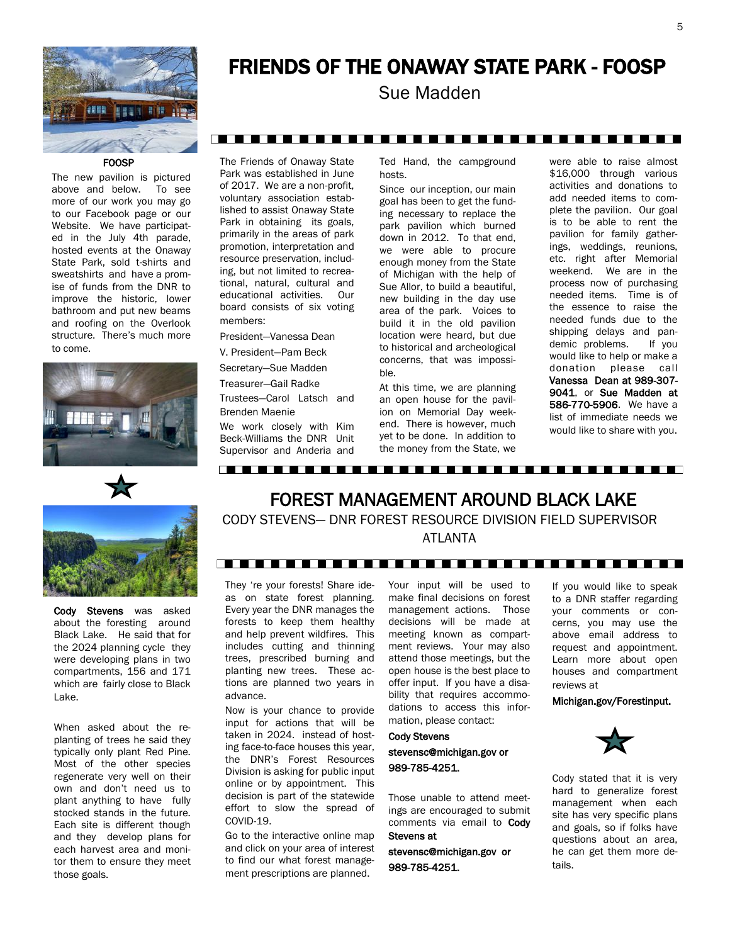

## FRIENDS OF THE ONAWAY STATE PARK - FOOSP

Sue Madden

#### 

#### **FOOSP**

The new pavilion is pictured above and below. To see more of our work you may go to our Facebook page or our Website. We have participated in the July 4th parade, hosted events at the Onaway State Park, sold t-shirts and sweatshirts and have a promise of funds from the DNR to improve the historic, lower bathroom and put new beams and roofing on the Overlook structure. There's much more to come.





Cody Stevens was asked about the foresting around Black Lake. He said that for the 2024 planning cycle they were developing plans in two compartments, 156 and 171 which are fairly close to Black Lake.

When asked about the replanting of trees he said they typically only plant Red Pine. Most of the other species regenerate very well on their own and don't need us to plant anything to have fully stocked stands in the future. Each site is different though and they develop plans for each harvest area and monitor them to ensure they meet those goals.

The Friends of Onaway State Park was established in June of 2017. We are a non-profit, voluntary association established to assist Onaway State Park in obtaining its goals, primarily in the areas of park promotion, interpretation and resource preservation, including, but not limited to recreational, natural, cultural and educational activities. Our board consists of six voting members:

President—Vanessa Dean

V. President—Pam Beck

Secretary—Sue Madden

Treasurer—Gail Radke

Trustees—Carol Latsch and Brenden Maenie

We work closely with Kim Beck-Williams the DNR Unit Supervisor and Anderia and

Ted Hand, the campground hosts.

Since our inception, our main goal has been to get the funding necessary to replace the park pavilion which burned down in 2012. To that end, we were able to procure enough money from the State of Michigan with the help of Sue Allor, to build a beautiful, new building in the day use area of the park. Voices to build it in the old pavilion location were heard, but due to historical and archeological concerns, that was impossible.

At this time, we are planning an open house for the pavilion on Memorial Day weekend. There is however, much yet to be done. In addition to the money from the State, we

were able to raise almost \$16,000 through various activities and donations to add needed items to complete the pavilion. Our goal is to be able to rent the pavilion for family gatherings, weddings, reunions, etc. right after Memorial weekend. We are in the process now of purchasing needed items. Time is of the essence to raise the needed funds due to the shipping delays and pandemic problems. If you would like to help or make a donation please call Vanessa Dean at 989-307- 9041, or Sue Madden at 586-770-5906. We have a list of immediate needs we would like to share with you.

FOREST MANAGEMENT AROUND BLACK LAKE CODY STEVENS— DNR FOREST RESOURCE DIVISION FIELD SUPERVISOR ATLANTA

----------------------------------

#### -----------------------------------

They 're your forests! Share ideas on state forest planning. Every year the DNR manages the forests to keep them healthy and help prevent wildfires. This includes cutting and thinning trees, prescribed burning and planting new trees. These actions are planned two years in advance.

Now is your chance to provide input for actions that will be taken in 2024. instead of hosting face-to-face houses this year, the DNR's Forest Resources Division is asking for public input online or by appointment. This decision is part of the statewide effort to slow the spread of COVID-19.

Go to the interactive online map and click on your area of interest to find our what forest management prescriptions are planned.

Your input will be used to make final decisions on forest management actions. Those decisions will be made at meeting known as compartment reviews. Your may also attend those meetings, but the open house is the best place to offer input. If you have a disability that requires accommodations to access this information, please contact:

Cody Stevens stevensc@michigan.gov or 989-785-4251.

Those unable to attend meetings are encouraged to submit comments via email to Cody Stevens at

stevensc@michigan.gov or 989-785-4251.

If you would like to speak to a DNR staffer regarding your comments or concerns, you may use the above email address to request and appointment. Learn more about open houses and compartment reviews at

Michigan.gov/Forestinput.



Cody stated that it is very hard to generalize forest management when each site has very specific plans and goals, so if folks have questions about an area, he can get them more details.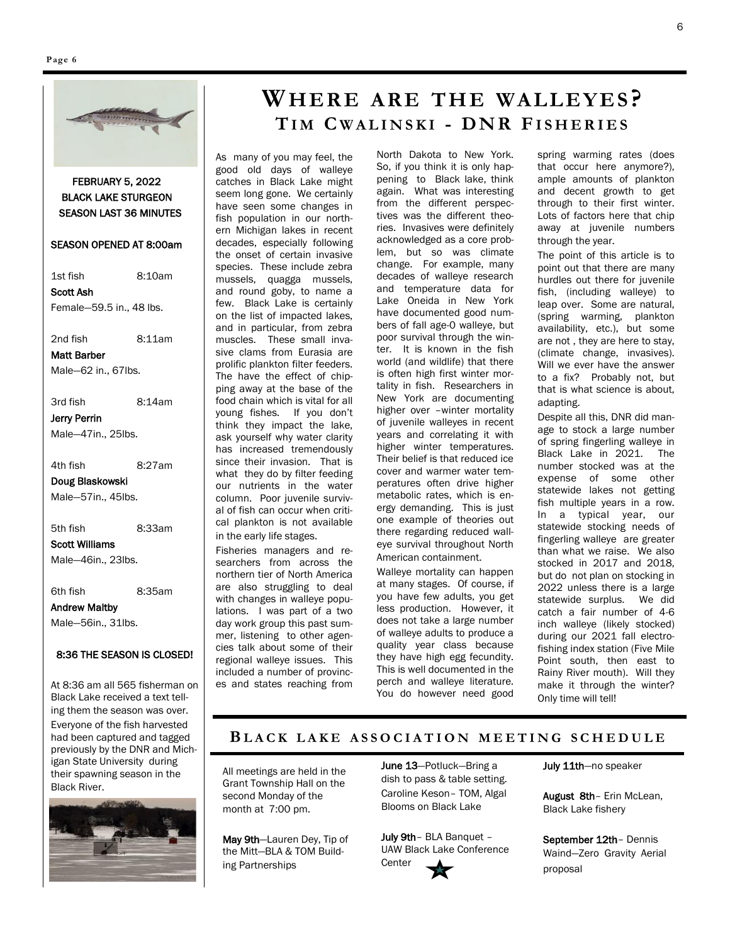

#### FEBRUARY 5, 2022 BLACK LAKE STURGEON SEASON LAST 36 MINUTES

#### SEASON OPENED AT 8:00am

1st fish 8:10am Scott Ash Female—59.5 in., 48 lbs.

2nd fish 8:11am

Matt Barber Male—62 in., 67lbs.

3rd fish 8:14am Jerry Perrin

Male—47in., 25lbs.

4th fish 8:27am

Doug Blaskowski Male—57in., 45lbs.

5th fish 8:33am Scott Williams

Male—46in., 23lbs.

6th fish 8:35am

Andrew Maltby

Male—56in., 31lbs.

#### 8:36 THE SEASON IS CLOSED!

At 8:36 am all 565 fisherman on Black Lake received a text telling them the season was over. Everyone of the fish harvested had been captured and tagged previously by the DNR and Michigan State University during their spawning season in the Black River.



## **WHER E A RE TH E WA L L E Y ES ? TI M C W A L I N S K I - D N R FI S H E R I E S**

As many of you may feel, the good old days of walleye catches in Black Lake might seem long gone. We certainly have seen some changes in fish population in our northern Michigan lakes in recent decades, especially following the onset of certain invasive species. These include zebra mussels, quagga mussels, and round goby, to name a few. Black Lake is certainly on the list of impacted lakes, and in particular, from zebra muscles. These small invasive clams from Eurasia are prolific plankton filter feeders. The have the effect of chipping away at the base of the food chain which is vital for all young fishes. If you don't think they impact the lake, ask yourself why water clarity has increased tremendously since their invasion. That is what they do by filter feeding our nutrients in the water column. Poor juvenile survival of fish can occur when critical plankton is not available in the early life stages.

Fisheries managers and researchers from across the northern tier of North America are also struggling to deal with changes in walleye populations. I was part of a two day work group this past summer, listening to other agencies talk about some of their regional walleye issues. This included a number of provinces and states reaching from

North Dakota to New York. So, if you think it is only happening to Black lake, think again. What was interesting from the different perspectives was the different theories. Invasives were definitely acknowledged as a core problem, but so was climate change. For example, many decades of walleye research and temperature data for Lake Oneida in New York have documented good numbers of fall age-0 walleye, but poor survival through the winter. It is known in the fish world (and wildlife) that there is often high first winter mortality in fish. Researchers in New York are documenting higher over –winter mortality of juvenile walleyes in recent years and correlating it with higher winter temperatures. Their belief is that reduced ice cover and warmer water temperatures often drive higher metabolic rates, which is energy demanding. This is just one example of theories out there regarding reduced walleye survival throughout North American containment.

Walleye mortality can happen at many stages. Of course, if you have few adults, you get less production. However, it does not take a large number of walleye adults to produce a quality year class because they have high egg fecundity. This is well documented in the perch and walleye literature. You do however need good

spring warming rates (does that occur here anymore?), ample amounts of plankton and decent growth to get through to their first winter. Lots of factors here that chip away at juvenile numbers through the year.

The point of this article is to point out that there are many hurdles out there for juvenile fish, (including walleye) to leap over. Some are natural, (spring warming, plankton availability, etc.), but some are not , they are here to stay, (climate change, invasives). Will we ever have the answer to a fix? Probably not, but that is what science is about, adapting.

Despite all this, DNR did manage to stock a large number of spring fingerling walleye in Black Lake in 2021. The number stocked was at the expense of some other statewide lakes not getting fish multiple years in a row. In a typical year, our statewide stocking needs of fingerling walleye are greater than what we raise. We also stocked in 2017 and 2018, but do not plan on stocking in 2022 unless there is a large statewide surplus. We did catch a fair number of 4-6 inch walleye (likely stocked) during our 2021 fall electrofishing index station (Five Mile Point south, then east to Rainy River mouth). Will they make it through the winter? Only time will tell!

### **BL A C K L A K E A S S O C I A T I O N M E E T I N G S C H E D U L E**

All meetings are held in the Grant Township Hall on the second Monday of the month at 7:00 pm.

May 9th—Lauren Dey, Tip of the Mitt—BLA & TOM Building Partnerships

June 13-Potluck-Bring a dish to pass & table setting. Caroline Keson– TOM, Algal Blooms on Black Lake

July 9th– BLA Banquet – UAW Black Lake Conference **Center** 

July 11th-no speaker

August 8th– Erin McLean, Black Lake fishery

September 12th– Dennis Waind—Zero Gravity Aerial proposal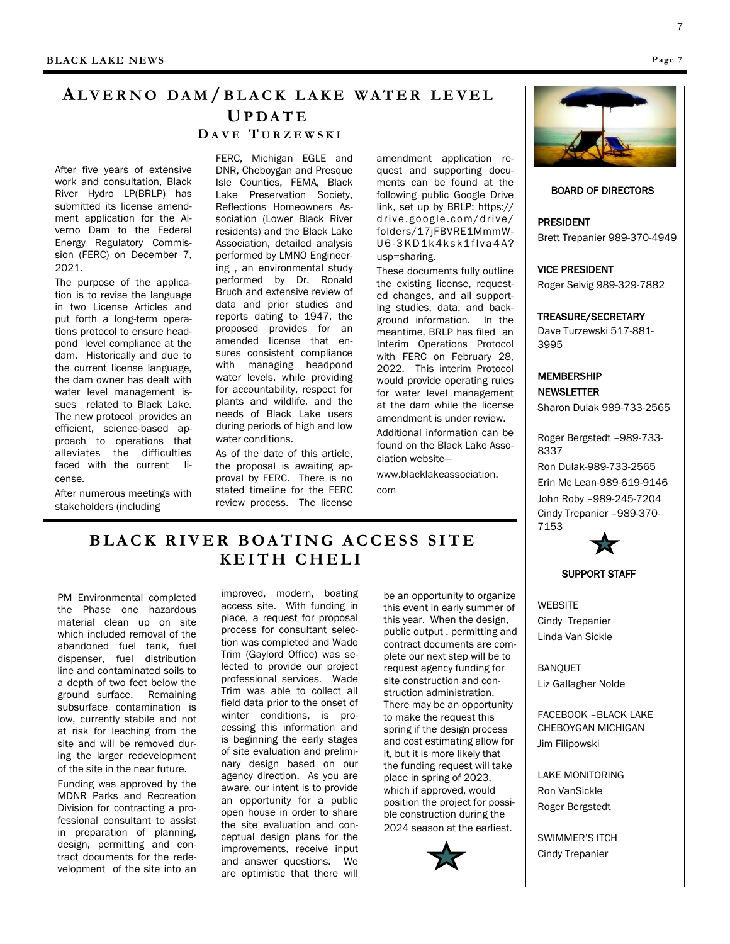## **AL V E R N O D A M / B L A C K L A K E W A T E R L E V E L UP D A T E**

#### **D A V E T U R Z E W S K I**

After five years of extensive work and consultation, Black River Hydro LP(BRLP) has submitted its license amendment application for the Alverno Dam to the Federal Energy Regulatory Commission (FERC) on December 7, 2021.

The purpose of the application is to revise the language in two License Articles and put forth a long-term operations protocol to ensure headpond level compliance at the dam. Historically and due to the current license language, the dam owner has dealt with water level management issues related to Black Lake. The new protocol provides an efficient, science-based approach to operations that alleviates the difficulties faced with the current license.

After numerous meetings with stakeholders (including

FERC, Michigan EGLE and DNR, Cheboygan and Presque Isle Counties, FEMA, Black Lake Preservation Society, Reflections Homeowners Association (Lower Black River residents) and the Black Lake Association, detailed analysis performed by LMNO Engineering , an environmental study performed by Dr. Ronald Bruch and extensive review of data and prior studies and reports dating to 1947, the proposed provides for an amended license that ensures consistent compliance with managing headpond water levels, while providing for accountability, respect for plants and wildlife, and the needs of Black Lake users during periods of high and low water conditions.

As of the date of this article, the proposal is awaiting approval by FERC. There is no stated timeline for the FERC review process. The license amendment application request and supporting documents can be found at the following public Google Drive link, set up by BRLP: https:// drive.google.com/drive/ folders/17jFBVRE1MmmW-U 6-3 K D 1 k 4 k s k 1 f l v a 4 A ? usp=sharing.

These documents fully outline the existing license, requested changes, and all supporting studies, data, and background information. In the meantime, BRLP has filed an Interim Operations Protocol with FERC on February 28, 2022. This interim Protocol would provide operating rules for water level management at the dam while the license amendment is under review.

Additional information can be found on the Black Lake Association website—

www.blacklakeassociation. com

#### BOARD OF DIRECTORS

PRESIDENT Brett Trepanier 989-370-4949

VICE PRESIDENT

Roger Selvig 989-329-7882

TREASURE/SECRETARY

Dave Turzewski 517-881- 3995

**MEMBERSHIP NEWSLETTER** 

Sharon Dulak 989-733-2565

Roger Bergstedt –989-733- 8337 Ron Dulak-989-733-2565 Erin Mc Lean-989-619-9146 John Roby –989-245-7204 Cindy Trepanier –989-370- 7153



#### SUPPORT STAFF

**WEBSITE** Cindy Trepanier Linda Van Sickle

BANQUET Liz Gallagher Nolde

FACEBOOK –BLACK LAKE CHEBOYGAN MICHIGAN Jim Filipowski

LAKE MONITORING Ron VanSickle Roger Bergstedt

SWIMMER'S ITCH Cindy Trepanier

## **B L A C K R I V E R B OA T I N G A C C E S S S I T E K E I T H C H E L I**

PM Environmental completed the Phase one hazardous material clean up on site which included removal of the abandoned fuel tank, fuel dispenser, fuel distribution line and contaminated soils to a depth of two feet below the ground surface. Remaining subsurface contamination is low, currently stabile and not at risk for leaching from the site and will be removed during the larger redevelopment of the site in the near future.

Funding was approved by the MDNR Parks and Recreation Division for contracting a professional consultant to assist in preparation of planning, design, permitting and contract documents for the redevelopment of the site into an improved, modern, boating access site. With funding in place, a request for proposal process for consultant selection was completed and Wade Trim (Gaylord Office) was selected to provide our project professional services. Wade Trim was able to collect all field data prior to the onset of winter conditions, is processing this information and is beginning the early stages of site evaluation and preliminary design based on our agency direction. As you are aware, our intent is to provide an opportunity for a public open house in order to share the site evaluation and conceptual design plans for the improvements, receive input and answer questions. We are optimistic that there will

be an opportunity to organize this event in early summer of this year. When the design, public output , permitting and contract documents are complete our next step will be to request agency funding for site construction and construction administration. There may be an opportunity to make the request this spring if the design process and cost estimating allow for it, but it is more likely that the funding request will take place in spring of 2023, which if approved, would position the project for possible construction during the 2024 season at the earliest.



**Page 7**